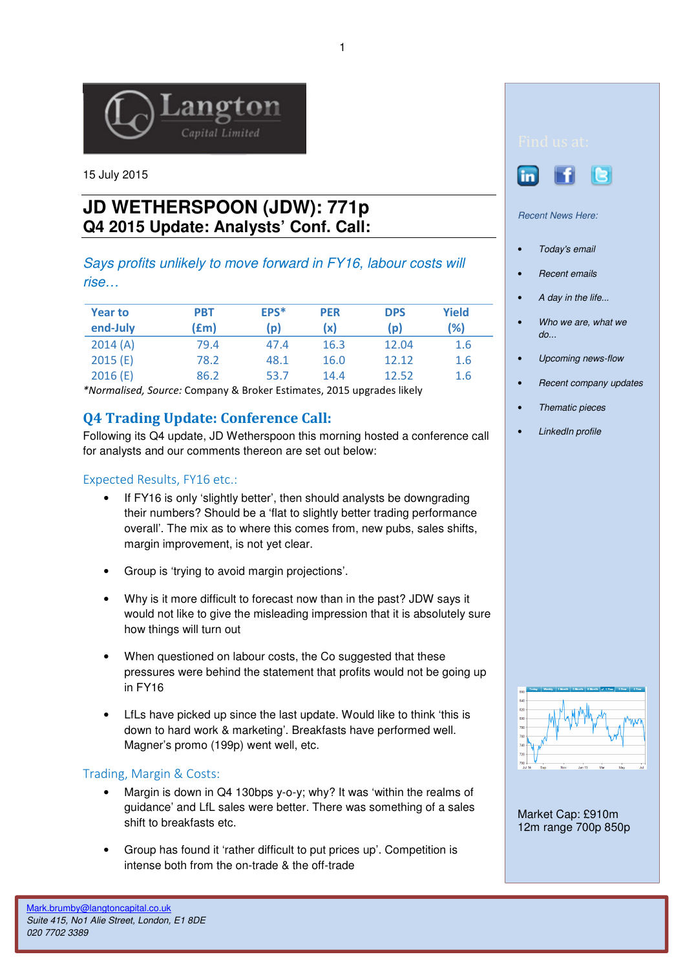

15 July 2015

# **JD WETHERSPOON (JDW): 771p Q4 2015 Update: Analysts' Conf. Call:**

Says profits unlikely to move forward in FY16, labour costs will rise…

| <b>Year to</b><br>end-July | <b>PBT</b><br>(£m) | EPS*<br>$\mathsf{p}$ | <b>PER</b><br>(x) | <b>DPS</b><br>(p) | Yield<br>(%) |
|----------------------------|--------------------|----------------------|-------------------|-------------------|--------------|
| 2014(A)                    | 79.4               | 47.4                 | 16.3              | 12.04             | 1.6          |
| 2015(E)                    | 78.2               | 48.1                 | 16.0              | 12.12             | 1.6          |
| 2016(E)                    | 86.2               | 53.7                 | 14.4              | 12.52             | 1.6          |

\*Normalised, Source: Company & Broker Estimates, 2015 upgrades likely

## Q4 Trading Update: Conference Call:

Following its Q4 update, JD Wetherspoon this morning hosted a conference call for analysts and our comments thereon are set out below:

### Expected Results, FY16 etc.:

- If FY16 is only 'slightly better', then should analysts be downgrading their numbers? Should be a 'flat to slightly better trading performance overall'. The mix as to where this comes from, new pubs, sales shifts, margin improvement, is not yet clear.
- Group is 'trying to avoid margin projections'.
- Why is it more difficult to forecast now than in the past? JDW says it would not like to give the misleading impression that it is absolutely sure how things will turn out
- When questioned on labour costs, the Co suggested that these pressures were behind the statement that profits would not be going up in FY16
- LfLs have picked up since the last update. Would like to think 'this is down to hard work & marketing'. Breakfasts have performed well. Magner's promo (199p) went well, etc.

#### Trading, Margin & Costs:

- Margin is down in Q4 130bps y-o-y; why? It was 'within the realms of guidance' and LfL sales were better. There was something of a sales shift to breakfasts etc.
- Group has found it 'rather difficult to put prices up'. Competition is intense both from the on-trade & the off-trade





Recent News Here:

- Today's email
- **Recent emails**
- A day in the life...
- Who we are, what we  $d\rho$ ...
- Upcoming news-flow
- Recent company updates
- Thematic pieces
- LinkedIn profile



Market Cap: £910m 12m range 700p 850p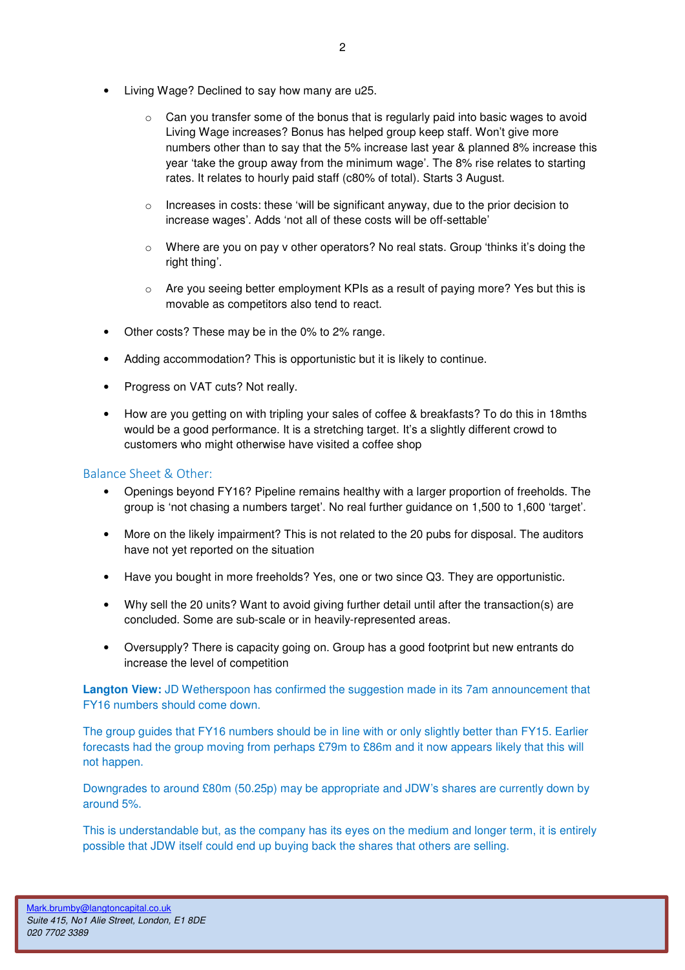- Living Wage? Declined to say how many are u25.
	- o Can you transfer some of the bonus that is regularly paid into basic wages to avoid Living Wage increases? Bonus has helped group keep staff. Won't give more numbers other than to say that the 5% increase last year & planned 8% increase this year 'take the group away from the minimum wage'. The 8% rise relates to starting rates. It relates to hourly paid staff (c80% of total). Starts 3 August.
	- o Increases in costs: these 'will be significant anyway, due to the prior decision to increase wages'. Adds 'not all of these costs will be off-settable'
	- $\circ$  Where are you on pay y other operators? No real stats. Group 'thinks it's doing the right thing'.
	- $\circ$  Are you seeing better employment KPIs as a result of paying more? Yes but this is movable as competitors also tend to react.
- Other costs? These may be in the 0% to 2% range.
- Adding accommodation? This is opportunistic but it is likely to continue.
- Progress on VAT cuts? Not really.
- How are you getting on with tripling your sales of coffee & breakfasts? To do this in 18mths would be a good performance. It is a stretching target. It's a slightly different crowd to customers who might otherwise have visited a coffee shop

#### Balance Sheet & Other:

- Openings beyond FY16? Pipeline remains healthy with a larger proportion of freeholds. The group is 'not chasing a numbers target'. No real further guidance on 1,500 to 1,600 'target'.
- More on the likely impairment? This is not related to the 20 pubs for disposal. The auditors have not yet reported on the situation
- Have you bought in more freeholds? Yes, one or two since Q3. They are opportunistic.
- Why sell the 20 units? Want to avoid giving further detail until after the transaction(s) are concluded. Some are sub-scale or in heavily-represented areas.
- Oversupply? There is capacity going on. Group has a good footprint but new entrants do increase the level of competition

**Langton View:** JD Wetherspoon has confirmed the suggestion made in its 7am announcement that FY16 numbers should come down.

The group guides that FY16 numbers should be in line with or only slightly better than FY15. Earlier forecasts had the group moving from perhaps £79m to £86m and it now appears likely that this will not happen.

Downgrades to around £80m (50.25p) may be appropriate and JDW's shares are currently down by around 5%.

This is understandable but, as the company has its eyes on the medium and longer term, it is entirely possible that JDW itself could end up buying back the shares that others are selling.